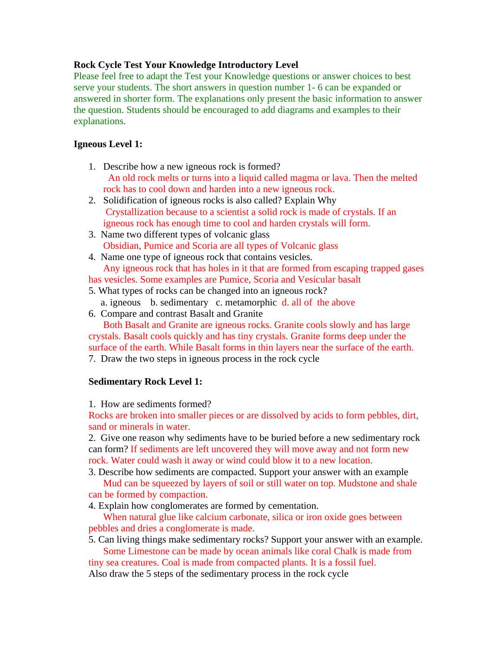## **Rock Cycle Test Your Knowledge Introductory Level**

Please feel free to adapt the Test your Knowledge questions or answer choices to best serve your students. The short answers in question number 1- 6 can be expanded or answered in shorter form. The explanations only present the basic information to answer the question. Students should be encouraged to add diagrams and examples to their explanations.

## **Igneous Level 1:**

- 1. Describe how a new igneous rock is formed? An old rock melts or turns into a liquid called magma or lava. Then the melted rock has to cool down and harden into a new igneous rock.
- 2. Solidification of igneous rocks is also called? Explain Why Crystallization because to a scientist a solid rock is made of crystals. If an igneous rock has enough time to cool and harden crystals will form.
- 3. Name two different types of volcanic glass Obsidian, Pumice and Scoria are all types of Volcanic glass
- 4. Name one type of igneous rock that contains vesicles. Any igneous rock that has holes in it that are formed from escaping trapped gases
- has vesicles. Some examples are Pumice, Scoria and Vesicular basalt
- 5. What types of rocks can be changed into an igneous rock? a. igneous b. sedimentary c. metamorphic d. all of the above
- 6. Compare and contrast Basalt and Granite

Both Basalt and Granite are igneous rocks. Granite cools slowly and has large crystals. Basalt cools quickly and has tiny crystals. Granite forms deep under the surface of the earth. While Basalt forms in thin layers near the surface of the earth.

7. Draw the two steps in igneous process in the rock cycle

## **Sedimentary Rock Level 1:**

1. How are sediments formed?

Rocks are broken into smaller pieces or are dissolved by acids to form pebbles, dirt, sand or minerals in water.

2. Give one reason why sediments have to be buried before a new sedimentary rock can form? If sediments are left uncovered they will move away and not form new rock. Water could wash it away or wind could blow it to a new location.

3. Describe how sediments are compacted. Support your answer with an example Mud can be squeezed by layers of soil or still water on top. Mudstone and shale

can be formed by compaction.

4. Explain how conglomerates are formed by cementation.

When natural glue like calcium carbonate, silica or iron oxide goes between pebbles and dries a conglomerate is made.

5. Can living things make sedimentary rocks? Support your answer with an example. Some Limestone can be made by ocean animals like coral Chalk is made from

tiny sea creatures. Coal is made from compacted plants. It is a fossil fuel.

Also draw the 5 steps of the sedimentary process in the rock cycle